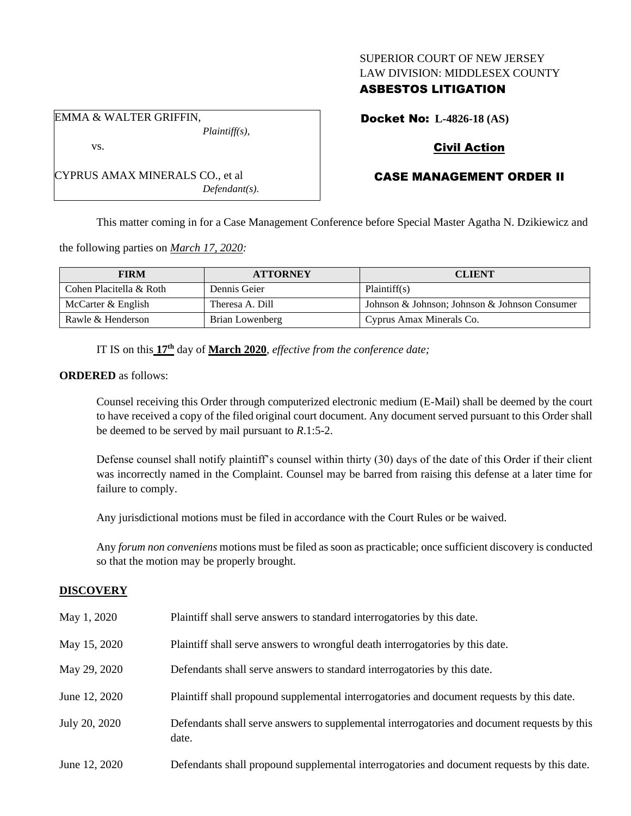## SUPERIOR COURT OF NEW JERSEY LAW DIVISION: MIDDLESEX COUNTY

# ASBESTOS LITIGATION

EMMA & WALTER GRIFFIN, *Plaintiff(s),*

vs.

CYPRUS AMAX MINERALS CO., et al *Defendant(s).* Docket No: **L-4826-18 (AS)**

# Civil Action

# CASE MANAGEMENT ORDER II

This matter coming in for a Case Management Conference before Special Master Agatha N. Dzikiewicz and

the following parties on *March 17, 2020:*

| <b>FIRM</b>             | <b>ATTORNEY</b> | <b>CLIENT</b>                                 |
|-------------------------|-----------------|-----------------------------------------------|
| Cohen Placitella & Roth | Dennis Geier    | Plaintiff(s)                                  |
| McCarter $&$ English    | Theresa A. Dill | Johnson & Johnson; Johnson & Johnson Consumer |
| Rawle & Henderson       | Brian Lowenberg | Cyprus Amax Minerals Co.                      |

IT IS on this **17th** day of **March 2020**, *effective from the conference date;*

**ORDERED** as follows:

Counsel receiving this Order through computerized electronic medium (E-Mail) shall be deemed by the court to have received a copy of the filed original court document. Any document served pursuant to this Order shall be deemed to be served by mail pursuant to *R*.1:5-2.

Defense counsel shall notify plaintiff's counsel within thirty (30) days of the date of this Order if their client was incorrectly named in the Complaint. Counsel may be barred from raising this defense at a later time for failure to comply.

Any jurisdictional motions must be filed in accordance with the Court Rules or be waived.

Any *forum non conveniens* motions must be filed as soon as practicable; once sufficient discovery is conducted so that the motion may be properly brought.

# **DISCOVERY**

| May 1, 2020   | Plaintiff shall serve answers to standard interrogatories by this date.                               |
|---------------|-------------------------------------------------------------------------------------------------------|
| May 15, 2020  | Plaintiff shall serve answers to wrongful death interrogatories by this date.                         |
| May 29, 2020  | Defendants shall serve answers to standard interrogatories by this date.                              |
| June 12, 2020 | Plaintiff shall propound supplemental interrogatories and document requests by this date.             |
| July 20, 2020 | Defendants shall serve answers to supplemental interrogatories and document requests by this<br>date. |
| June 12, 2020 | Defendants shall propound supplemental interrogatories and document requests by this date.            |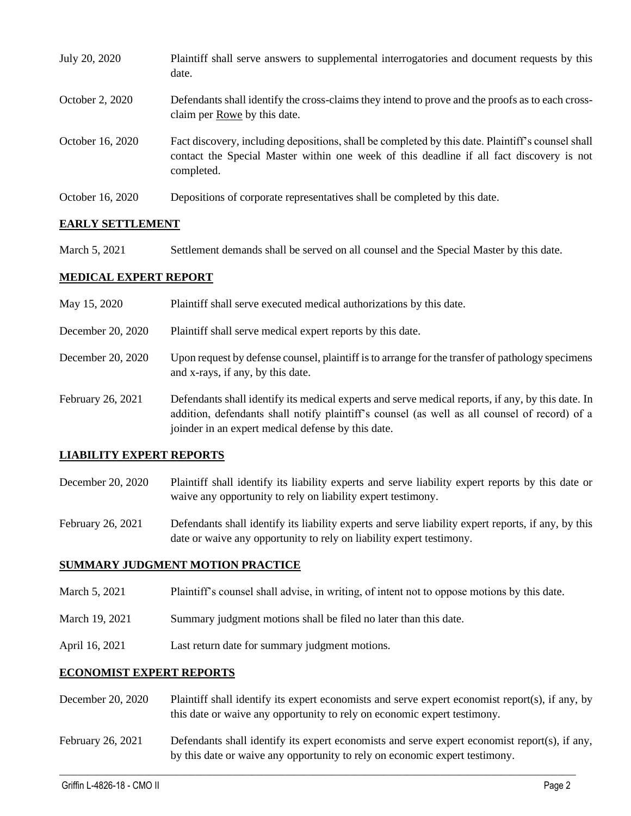| July 20, 2020    | Plaintiff shall serve answers to supplemental interrogatories and document requests by this<br>date.                                                                                                        |
|------------------|-------------------------------------------------------------------------------------------------------------------------------------------------------------------------------------------------------------|
| October 2, 2020  | Defendants shall identify the cross-claims they intend to prove and the proofs as to each cross-<br>claim per Rowe by this date.                                                                            |
| October 16, 2020 | Fact discovery, including depositions, shall be completed by this date. Plaintiff's counsel shall<br>contact the Special Master within one week of this deadline if all fact discovery is not<br>completed. |
| October 16, 2020 | Depositions of corporate representatives shall be completed by this date.                                                                                                                                   |

# **EARLY SETTLEMENT**

March 5, 2021 Settlement demands shall be served on all counsel and the Special Master by this date.

### **MEDICAL EXPERT REPORT**

- May 15, 2020 Plaintiff shall serve executed medical authorizations by this date.
- December 20, 2020 Plaintiff shall serve medical expert reports by this date.
- December 20, 2020 Upon request by defense counsel, plaintiff is to arrange for the transfer of pathology specimens and x-rays, if any, by this date.
- February 26, 2021 Defendants shall identify its medical experts and serve medical reports, if any, by this date. In addition, defendants shall notify plaintiff's counsel (as well as all counsel of record) of a joinder in an expert medical defense by this date.

#### **LIABILITY EXPERT REPORTS**

- December 20, 2020 Plaintiff shall identify its liability experts and serve liability expert reports by this date or waive any opportunity to rely on liability expert testimony.
- February 26, 2021 Defendants shall identify its liability experts and serve liability expert reports, if any, by this date or waive any opportunity to rely on liability expert testimony.

#### **SUMMARY JUDGMENT MOTION PRACTICE**

- March 5, 2021 Plaintiff's counsel shall advise, in writing, of intent not to oppose motions by this date.
- March 19, 2021 Summary judgment motions shall be filed no later than this date.
- April 16, 2021 Last return date for summary judgment motions.

#### **ECONOMIST EXPERT REPORTS**

- December 20, 2020 Plaintiff shall identify its expert economists and serve expert economist report(s), if any, by this date or waive any opportunity to rely on economic expert testimony.
- February 26, 2021 Defendants shall identify its expert economists and serve expert economist report(s), if any, by this date or waive any opportunity to rely on economic expert testimony.

 $\_$  , and the set of the set of the set of the set of the set of the set of the set of the set of the set of the set of the set of the set of the set of the set of the set of the set of the set of the set of the set of th